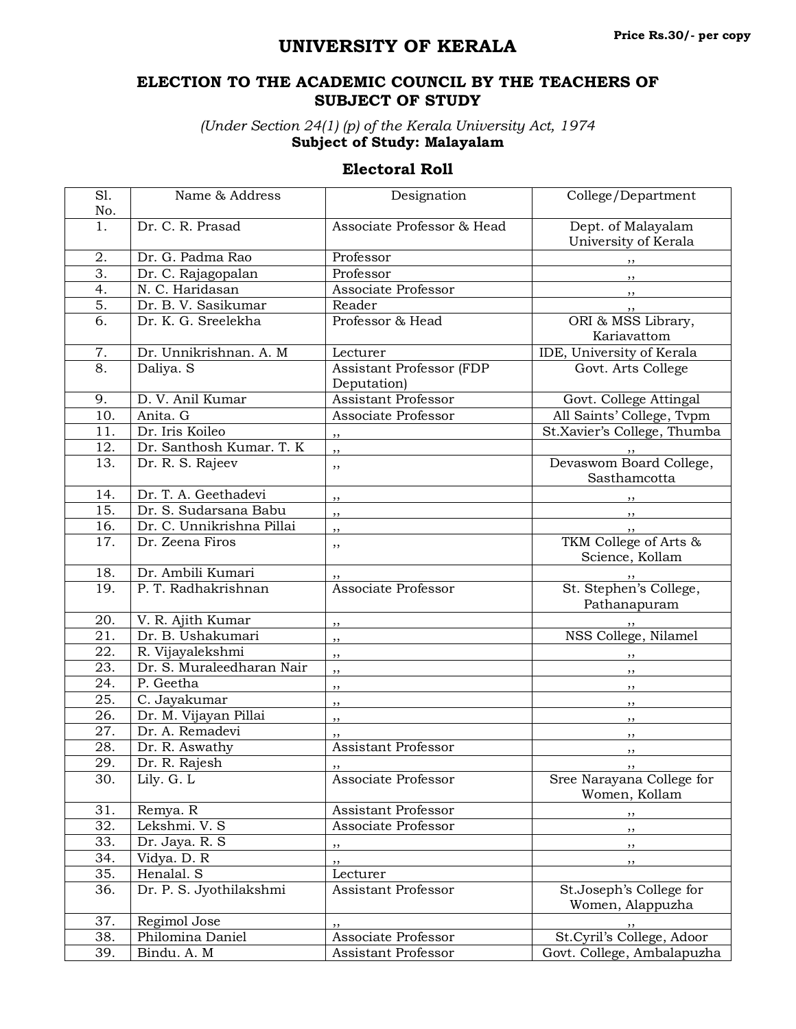## **UNIVERSITY OF KERALA**

## **ELECTION TO THE ACADEMIC COUNCIL BY THE TEACHERS OF SUBJECT OF STUDY**

*(Under Section 24(1) (p) of the Kerala University Act, 1974* **Subject of Study: Malayalam**

## **Electoral Roll**

| S1.               | Name & Address            | Designation                             | College/Department                                 |
|-------------------|---------------------------|-----------------------------------------|----------------------------------------------------|
| No.               |                           |                                         |                                                    |
| 1.                | Dr. C. R. Prasad          | Associate Professor & Head              | Dept. of Malayalam<br>University of Kerala         |
| 2.                | Dr. G. Padma Rao          | Professor                               | $, \,$                                             |
| $\overline{3}$ .  | Dr. C. Rajagopalan        | Professor                               | ,,                                                 |
| 4.                | N. C. Haridasan           | Associate Professor                     | $, \,$                                             |
| 5.                | Dr. B. V. Sasikumar       | Reader                                  | ,,                                                 |
| $\overline{6}$ .  | Dr. K. G. Sreelekha       | Professor & Head                        | ORI & MSS Library,<br>Kariavattom                  |
|                   |                           | Lecturer                                | IDE, University of Kerala                          |
| 7.<br>8.          | Dr. Unnikrishnan. A. M    |                                         |                                                    |
|                   | Daliya. S                 | Assistant Professor (FDP<br>Deputation) | Govt. Arts College                                 |
| 9.                | D. V. Anil Kumar          | <b>Assistant Professor</b>              | Govt. College Attingal                             |
| 10.               | Anita. G                  | Associate Professor                     | All Saints' College, Tvpm                          |
| 11.               | Dr. Iris Koileo           | ,,                                      | St.Xavier's College, Thumba                        |
| 12.               | Dr. Santhosh Kumar. T. K  | ,,                                      |                                                    |
| 13.               | Dr. R. S. Rajeev          | ,,                                      | Devaswom Board College,<br>Sasthamcotta            |
| 14.               | Dr. T. A. Geethadevi      |                                         |                                                    |
| 15.               | Dr. S. Sudarsana Babu     | ,,<br>,,                                |                                                    |
| 16.               | Dr. C. Unnikrishna Pillai | ,,                                      | , ,                                                |
| 17.               | Dr. Zeena Firos           | ,,                                      | $, \,$<br>TKM College of Arts &<br>Science, Kollam |
| 18.               | Dr. Ambili Kumari         |                                         |                                                    |
| 19.               | P. T. Radhakrishnan       | Associate Professor                     | St. Stephen's College,<br>Pathanapuram             |
| 20.               | V. R. Ajith Kumar         | ,,                                      |                                                    |
| 21.               | Dr. B. Ushakumari         | ,,                                      | NSS College, Nilamel                               |
| 22.               | R. Vijayalekshmi          | ,,                                      |                                                    |
| 23.               | Dr. S. Muraleedharan Nair | ,,                                      |                                                    |
| 24.               | P. Geetha                 | ,,                                      | , ,                                                |
| 25.               | C. Jayakumar              | ,,                                      | $, \,$                                             |
| 26.               | Dr. M. Vijayan Pillai     | ,,                                      | ,,                                                 |
| 27.               | Dr. A. Remadevi           |                                         | $, \,$                                             |
| 28.               | Dr. R. Aswathy            | <b>Assistant Professor</b>              | $, \,$                                             |
| 29.               | Dr. R. Rajesh             | ,,                                      | $, \,$                                             |
| 30.               | Lily. $G. L$              | Associate Professor                     | Sree Narayana College for<br>Women, Kollam         |
| 31.               | Remya. R                  | Assistant Professor                     |                                                    |
| 32.               | Lekshmi. V. S             | Associate Professor                     | ,,<br>,,                                           |
| $\overline{33}$ . | Dr. Jaya. R. S            |                                         |                                                    |
| 34.               | Vidya. D. R               | ,,                                      | , ,                                                |
| 35.               | Henalal. S                | ,,<br>Lecturer                          | $, \,$                                             |
| 36.               | Dr. P. S. Jyothilakshmi   | Assistant Professor                     | St.Joseph's College for                            |
|                   |                           |                                         | Women, Alappuzha                                   |
| 37.               | Regimol Jose              |                                         |                                                    |
| 38.               | Philomina Daniel          | Associate Professor                     | St.Cyril's College, Adoor                          |
| 39.               | Bindu. A. M               | Assistant Professor                     | Govt. College, Ambalapuzha                         |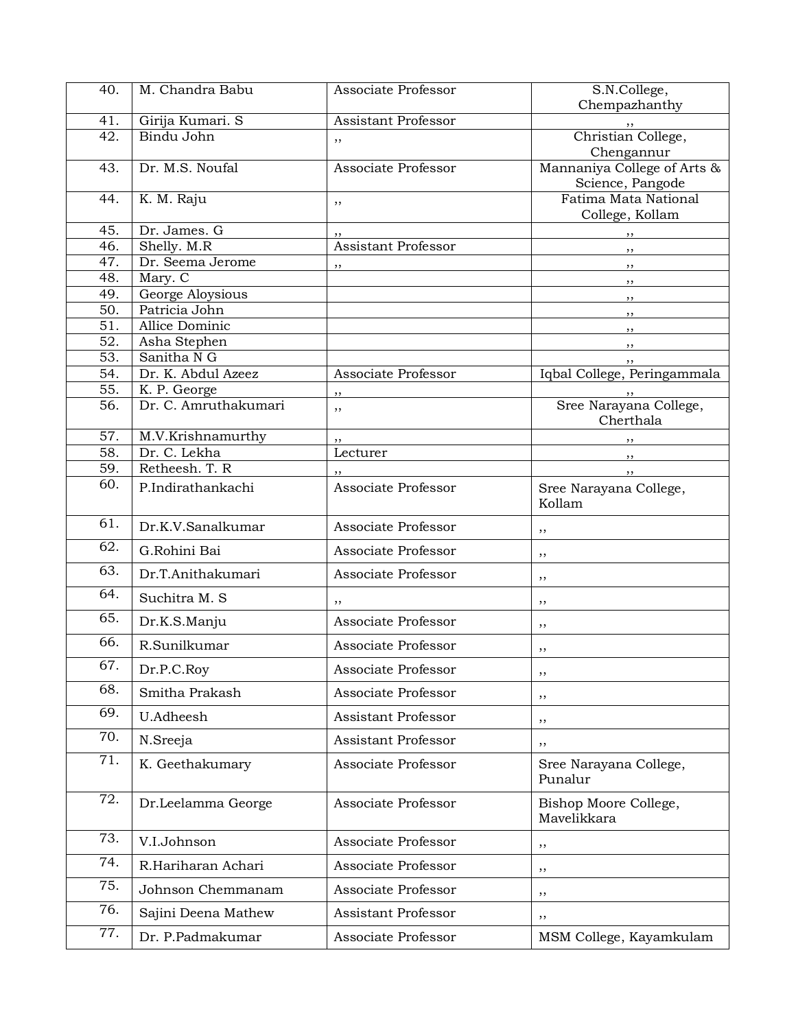| 40.               | M. Chandra Babu             | Associate Professor | S.N.College,                             |
|-------------------|-----------------------------|---------------------|------------------------------------------|
|                   |                             |                     | Chempazhanthy                            |
| 41.               | Girija Kumari. S            | Assistant Professor | $, \,$                                   |
| 42.               | Bindu John                  | ,,                  | Christian College,                       |
|                   |                             |                     | Chengannur                               |
| 43.               | Dr. M.S. Noufal             | Associate Professor | Mannaniya College of Arts &              |
| 44.               | K. M. Raju                  |                     | Science, Pangode<br>Fatima Mata National |
|                   |                             | ,,                  | College, Kollam                          |
| 45.               | Dr. James. G                |                     | ,,                                       |
| 46.               | Shelly. M.R                 | Assistant Professor | ,,                                       |
| 47.               | Dr. Seema Jerome            | ,,                  | , ,                                      |
| 48.               | Mary. C                     |                     | $, \,$                                   |
| 49.               | George Aloysious            |                     | $, \,$                                   |
| 50.               | Patricia John               |                     | , ,                                      |
| 51.               | Allice Dominic              |                     | ,,                                       |
| 52.               | Asha Stephen<br>Sanitha N G |                     | ,,                                       |
| 53.<br>54.        | Dr. K. Abdul Azeez          | Associate Professor | Iqbal College, Peringammala              |
| 55.               | K. P. George                |                     |                                          |
| 56.               | Dr. C. Amruthakumari        | ,,                  | Sree Narayana College,                   |
|                   |                             | ,,                  | Cherthala                                |
| 57.               | M.V.Krishnamurthy           | ,,                  | , ,                                      |
| 58.               | Dr. C. Lekha                | Lecturer            | $\overline{\phantom{a}}$                 |
| 59.               | Retheesh. T. R              |                     | ,,                                       |
| 60.               | P.Indirathankachi           | Associate Professor | Sree Narayana College,                   |
|                   |                             |                     | Kollam                                   |
| 61.               | Dr.K.V.Sanalkumar           | Associate Professor | ,,                                       |
| 62.               | G.Rohini Bai                | Associate Professor | ,,                                       |
| $\overline{63}$ . | Dr.T.Anithakumari           | Associate Professor | ,,                                       |
| 64.               | Suchitra M. S               | ,,                  | ,,                                       |
| 65.               | Dr.K.S.Manju                | Associate Professor | ,,                                       |
| 66.               | R.Sunilkumar                | Associate Professor | ,,                                       |
| 67.               | Dr.P.C.Roy                  | Associate Professor | ,,                                       |
| 68.               | Smitha Prakash              | Associate Professor | ,,                                       |
| 69.               | U.Adheesh                   | Assistant Professor | ,,                                       |
| 70.               | N.Sreeja                    | Assistant Professor | ,,                                       |
| 71.               | K. Geethakumary             | Associate Professor | Sree Narayana College,<br>Punalur        |
| 72.               | Dr.Leelamma George          | Associate Professor | Bishop Moore College,<br>Mavelikkara     |
| 73.               | V.I.Johnson                 | Associate Professor | ,,                                       |
| 74.               | R.Hariharan Achari          | Associate Professor | ,,                                       |
| 75.               | Johnson Chemmanam           | Associate Professor | ,,                                       |
| 76.               | Sajini Deena Mathew         | Assistant Professor | ,,                                       |
| 77.               | Dr. P.Padmakumar            | Associate Professor | MSM College, Kayamkulam                  |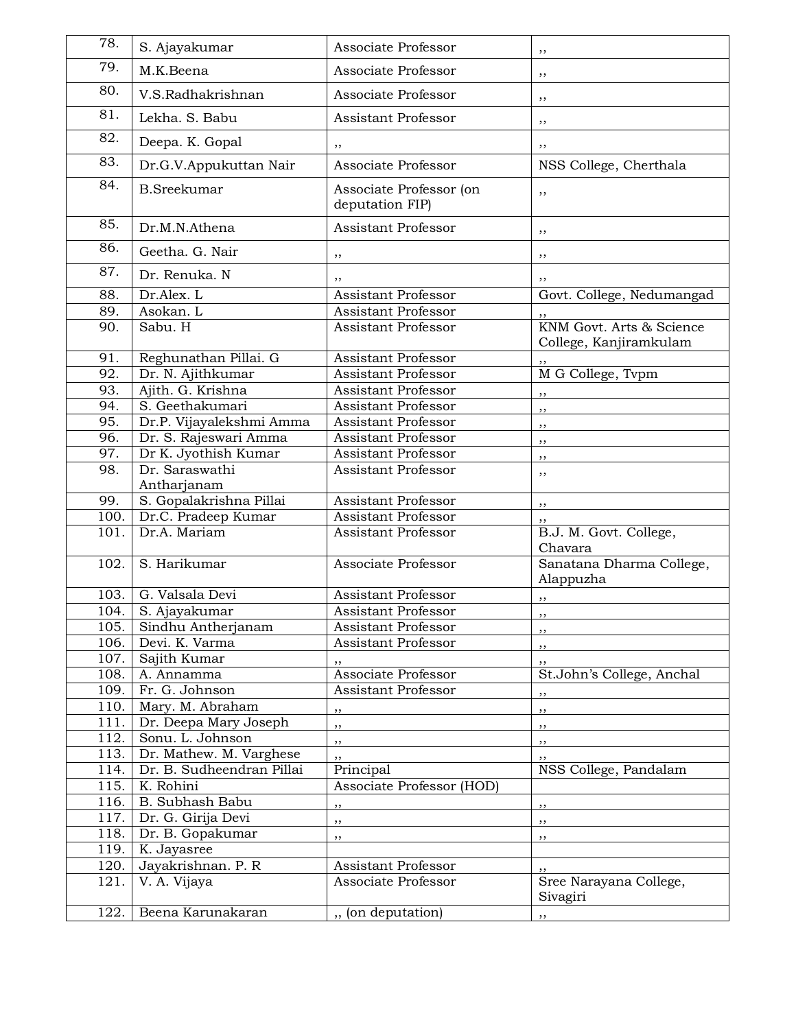| 78.          | S. Ajayakumar                     | Associate Professor                        | ,,                                                 |
|--------------|-----------------------------------|--------------------------------------------|----------------------------------------------------|
| 79.          | M.K.Beena                         | Associate Professor                        | ,,                                                 |
| 80.          | V.S.Radhakrishnan                 | Associate Professor                        | ,,                                                 |
| 81.          | Lekha. S. Babu                    | Assistant Professor                        | ,,                                                 |
| 82.          | Deepa. K. Gopal                   | ,,                                         | ,,                                                 |
| 83.          | Dr.G.V.Appukuttan Nair            | Associate Professor                        | NSS College, Cherthala                             |
| 84.          | <b>B.Sreekumar</b>                | Associate Professor (on<br>deputation FIP) | ,,                                                 |
| 85.          | Dr.M.N.Athena                     | <b>Assistant Professor</b>                 | ,,                                                 |
| 86.          | Geetha. G. Nair                   | ,,                                         | ,,                                                 |
| 87.          | Dr. Renuka. N                     | ,,                                         | ,,                                                 |
| 88.          | Dr.Alex. L                        | Assistant Professor                        | Govt. College, Nedumangad                          |
| 89.          | Asokan. L                         | Assistant Professor                        |                                                    |
| 90.          | Sabu. H                           | Assistant Professor                        | KNM Govt. Arts & Science<br>College, Kanjiramkulam |
| 91.          | Reghunathan Pillai. G             | Assistant Professor                        |                                                    |
| 92.          | Dr. N. Ajithkumar                 | Assistant Professor                        | M G College, Tvpm                                  |
| 93.          | Ajith. G. Krishna                 | Assistant Professor                        | ,,                                                 |
| 94.          | S. Geethakumari                   | Assistant Professor                        | ,,                                                 |
| 95.          | Dr.P. Vijayalekshmi Amma          | Assistant Professor                        | ,,                                                 |
| 96.          | Dr. S. Rajeswari Amma             | Assistant Professor                        | ,,                                                 |
| 97.          | Dr K. Jyothish Kumar              | Assistant Professor                        | ,,                                                 |
| 98.          | Dr. Saraswathi<br>Antharjanam     | Assistant Professor                        | ,,                                                 |
| 99.          | S. Gopalakrishna Pillai           | <b>Assistant Professor</b>                 | ,,                                                 |
| 100.         | Dr.C. Pradeep Kumar               | Assistant Professor                        |                                                    |
| 101.         | Dr.A. Mariam                      | Assistant Professor                        | B.J. M. Govt. College,<br>Chavara                  |
| 102.         | S. Harikumar                      | Associate Professor                        | Sanatana Dharma College,<br>Alappuzha              |
| 103.         | G. Valsala Devi                   | Assistant Professor                        | ,,                                                 |
| 104.         | S. Ajayakumar                     | Assistant Professor                        | ,,                                                 |
| 105.         | Sindhu Antherjanam                | Assistant Professor                        |                                                    |
| 106.         | Devi. K. Varma                    | Assistant Professor                        | , ,                                                |
| 107.         | Sajith Kumar                      | ,,                                         | ,,                                                 |
| 108.         | A. Annamma                        | Associate Professor                        | St.John's College, Anchal                          |
| 109.         | Fr. G. Johnson                    | Assistant Professor                        | ,,                                                 |
| 110.         | Mary. M. Abraham                  | ,,                                         | ,,                                                 |
| 111.         | Dr. Deepa Mary Joseph             | ,,                                         | ,,                                                 |
| 112.         | Sonu. L. Johnson                  | ,,                                         | ,,                                                 |
| 113.         | Dr. Mathew. M. Varghese           | ,,                                         | ,,                                                 |
| 114.         | Dr. B. Sudheendran Pillai         | Principal                                  | NSS College, Pandalam                              |
| 115.         | K. Rohini                         | Associate Professor (HOD)                  |                                                    |
| 116.         | B. Subhash Babu                   | $, \, \,$                                  | $, \, \,$                                          |
| 117.         | Dr. G. Girija Devi                | $, \, \,$                                  | $, \,$                                             |
| 118.         | Dr. B. Gopakumar                  | $, \, \,$                                  | , ,                                                |
| 119.<br>120. | K. Jayasree<br>Jayakrishnan. P. R |                                            |                                                    |
| 121.         | V. A. Vijaya                      | Assistant Professor<br>Associate Professor | Sree Narayana College,<br>Sivagiri                 |
| 122.         | Beena Karunakaran                 | ", (on deputation)                         |                                                    |
|              |                                   |                                            | ,,                                                 |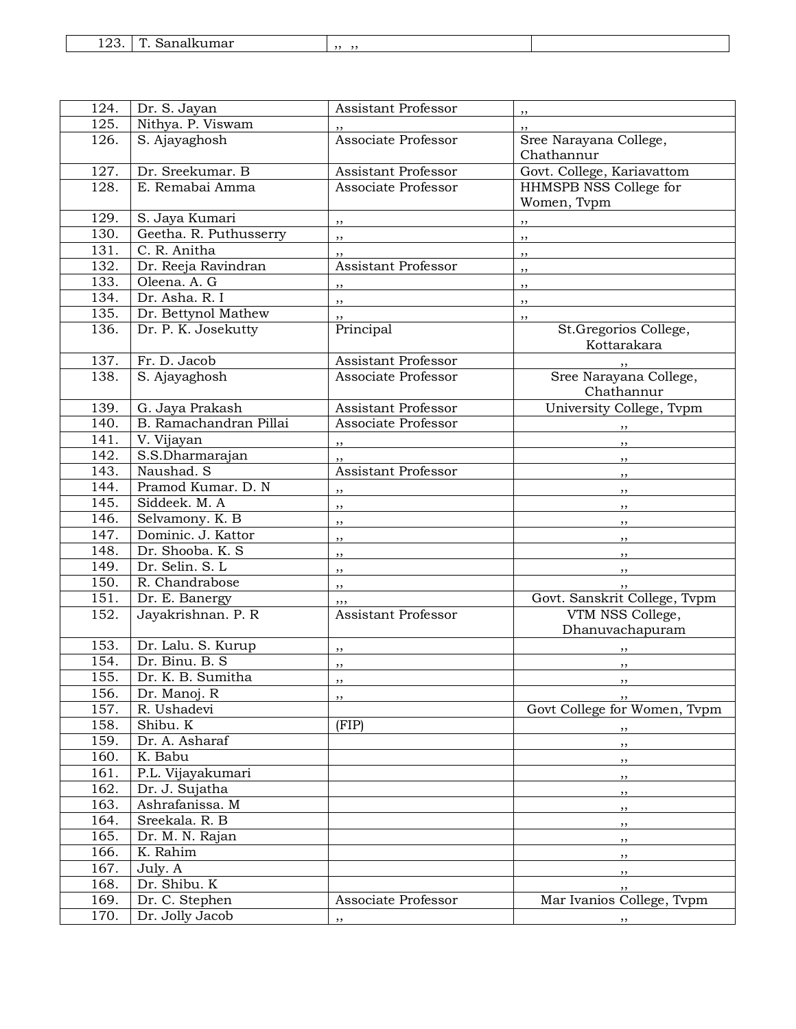| 1 ∩ ว<br>$\sqrt{ }$<br>Sanalkumar<br>143. |  |  |
|-------------------------------------------|--|--|
|-------------------------------------------|--|--|

| 124. | Dr. S. Jayan           | Assistant Professor        |                              |
|------|------------------------|----------------------------|------------------------------|
| 125. | Nithya. P. Viswam      |                            | $, \,$                       |
| 126. | S. Ajayaghosh          | Associate Professor        | Sree Narayana College,       |
|      |                        |                            | Chathannur                   |
| 127. | Dr. Sreekumar. B       | Assistant Professor        | Govt. College, Kariavattom   |
| 128. | E. Remabai Amma        | Associate Professor        | HHMSPB NSS College for       |
|      |                        |                            | Women, Tvpm                  |
| 129. | S. Jaya Kumari         | $, \, \,$                  | $, \, \,$                    |
| 130. | Geetha. R. Puthusserry | ,,                         | , ,                          |
| 131. | C. R. Anitha           | ,,                         | ,,                           |
| 132. | Dr. Reeja Ravindran    | <b>Assistant Professor</b> | ,,                           |
| 133. | Oleena. A. G           | ,,                         | ,,                           |
| 134. | Dr. Asha. R. I         | ,,                         | ,,                           |
| 135. | Dr. Bettynol Mathew    | ,,                         | ,,                           |
| 136. | Dr. P. K. Josekutty    | Principal                  | St.Gregorios College,        |
|      |                        |                            | Kottarakara                  |
| 137. | Fr. D. Jacob           | <b>Assistant Professor</b> |                              |
| 138. | S. Ajayaghosh          | Associate Professor        | Sree Narayana College,       |
|      |                        |                            | Chathannur                   |
| 139. | G. Jaya Prakash        | <b>Assistant Professor</b> | University College, Tvpm     |
| 140. | B. Ramachandran Pillai | Associate Professor        |                              |
| 141. | V. Vijayan             | $, \,$                     | , ,                          |
| 142. | S.S.Dharmarajan        | ,,                         | , ,                          |
| 143. | Naushad. S             | <b>Assistant Professor</b> | , ,                          |
| 144. | Pramod Kumar. D. N     | ,,                         | $, \, \,$                    |
| 145. | Siddeek. M. A          | , ,                        | , ,                          |
| 146. | Selvamony. K. B        | , ,                        | , ,                          |
| 147. | Dominic. J. Kattor     | ,,                         | , ,                          |
| 148. | Dr. Shooba. K. S       | ,,                         | $, \, , \,$                  |
| 149. | Dr. Selin. S. L        | ,,                         | , ,                          |
| 150. | R. Chandrabose         | ,,                         |                              |
| 151. | Dr. E. Banergy         | ,,,                        | Govt. Sanskrit College, Tvpm |
| 152. | Jayakrishnan. P. R     | Assistant Professor        | VTM NSS College,             |
|      |                        |                            | Dhanuvachapuram              |
| 153. | Dr. Lalu. S. Kurup     | ,,                         |                              |
| 154. | Dr. Binu. B. S         | $, \,$                     | ,,                           |
| 155. | Dr. K. B. Sumitha      | , ,                        | , ,                          |
| 156. | Dr. Manoj. R           | ,,                         | $, \,$                       |
| 157. | R. Ushadevi            |                            | Govt College for Women, Tvpm |
| 158. | Shibu. K               | (FIP)                      | $, \, \, \cdot$              |
| 159. | Dr. A. Asharaf         |                            | $, \,$                       |
| 160. | K. Babu                |                            | , ,                          |
| 161. | P.L. Vijayakumari      |                            | $, \,$                       |
| 162. | Dr. J. Sujatha         |                            | $, \,$                       |
| 163. | Ashrafanissa. M        |                            | , ,                          |
| 164. | Sreekala. R. B         |                            | , ,                          |
| 165. | Dr. M. N. Rajan        |                            | , ,                          |
| 166. | K. Rahim               |                            | , ,                          |
| 167. | July. A                |                            | $, \,$                       |
| 168. | Dr. Shibu. K           |                            | $, \,$                       |
| 169. | Dr. C. Stephen         | Associate Professor        | Mar Ivanios College, Tvpm    |
| 170. | Dr. Jolly Jacob        | ,,                         | $\overline{\phantom{a}}$     |